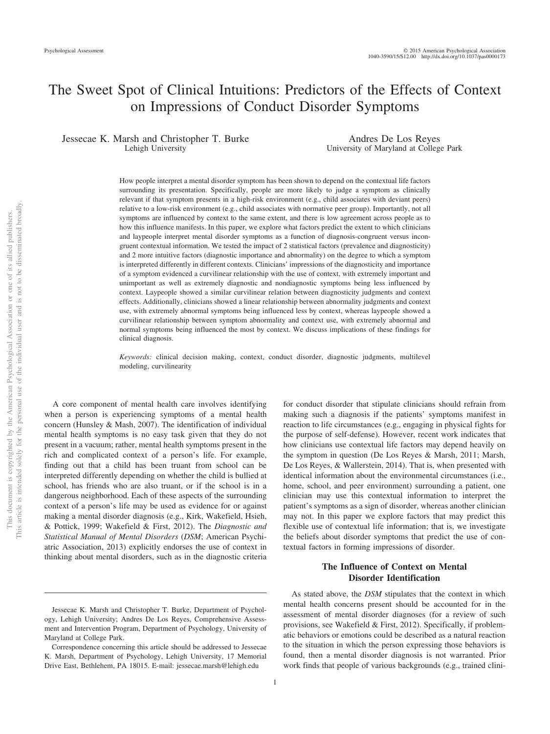# The Sweet Spot of Clinical Intuitions: Predictors of the Effects of Context on Impressions of Conduct Disorder Symptoms

Jessecae K. Marsh and Christopher T. Burke Lehigh University

Andres De Los Reyes University of Maryland at College Park

How people interpret a mental disorder symptom has been shown to depend on the contextual life factors surrounding its presentation. Specifically, people are more likely to judge a symptom as clinically relevant if that symptom presents in a high-risk environment (e.g., child associates with deviant peers) relative to a low-risk environment (e.g., child associates with normative peer group). Importantly, not all symptoms are influenced by context to the same extent, and there is low agreement across people as to how this influence manifests. In this paper, we explore what factors predict the extent to which clinicians and laypeople interpret mental disorder symptoms as a function of diagnosis-congruent versus incongruent contextual information. We tested the impact of 2 statistical factors (prevalence and diagnosticity) and 2 more intuitive factors (diagnostic importance and abnormality) on the degree to which a symptom is interpreted differently in different contexts. Clinicians' impressions of the diagnosticity and importance of a symptom evidenced a curvilinear relationship with the use of context, with extremely important and unimportant as well as extremely diagnostic and nondiagnostic symptoms being less influenced by context. Laypeople showed a similar curvilinear relation between diagnosticity judgments and context effects. Additionally, clinicians showed a linear relationship between abnormality judgments and context use, with extremely abnormal symptoms being influenced less by context, whereas laypeople showed a curvilinear relationship between symptom abnormality and context use, with extremely abnormal and normal symptoms being influenced the most by context. We discuss implications of these findings for clinical diagnosis.

*Keywords:* clinical decision making, context, conduct disorder, diagnostic judgments, multilevel modeling, curvilinearity

A core component of mental health care involves identifying when a person is experiencing symptoms of a mental health concern (Hunsley & Mash, 2007). The identification of individual mental health symptoms is no easy task given that they do not present in a vacuum; rather, mental health symptoms present in the rich and complicated context of a person's life. For example, finding out that a child has been truant from school can be interpreted differently depending on whether the child is bullied at school, has friends who are also truant, or if the school is in a dangerous neighborhood. Each of these aspects of the surrounding context of a person's life may be used as evidence for or against making a mental disorder diagnosis (e.g., Kirk, Wakefield, Hsieh, & Pottick, 1999; Wakefield & First, 2012). The *Diagnostic and Statistical Manual of Mental Disorders* (*DSM*; American Psychiatric Association, 2013) explicitly endorses the use of context in thinking about mental disorders, such as in the diagnostic criteria

for conduct disorder that stipulate clinicians should refrain from making such a diagnosis if the patients' symptoms manifest in reaction to life circumstances (e.g., engaging in physical fights for the purpose of self-defense). However, recent work indicates that how clinicians use contextual life factors may depend heavily on the symptom in question (De Los Reyes & Marsh, 2011; Marsh, De Los Reyes, & Wallerstein, 2014). That is, when presented with identical information about the environmental circumstances (i.e., home, school, and peer environment) surrounding a patient, one clinician may use this contextual information to interpret the patient's symptoms as a sign of disorder, whereas another clinician may not. In this paper we explore factors that may predict this flexible use of contextual life information; that is, we investigate the beliefs about disorder symptoms that predict the use of contextual factors in forming impressions of disorder.

# **The Influence of Context on Mental Disorder Identification**

As stated above, the *DSM* stipulates that the context in which mental health concerns present should be accounted for in the assessment of mental disorder diagnoses (for a review of such provisions, see Wakefield & First, 2012). Specifically, if problematic behaviors or emotions could be described as a natural reaction to the situation in which the person expressing those behaviors is found, then a mental disorder diagnosis is not warranted. Prior work finds that people of various backgrounds (e.g., trained clini-

Jessecae K. Marsh and Christopher T. Burke, Department of Psychology, Lehigh University; Andres De Los Reyes, Comprehensive Assessment and Intervention Program, Department of Psychology, University of Maryland at College Park.

Correspondence concerning this article should be addressed to Jessecae K. Marsh, Department of Psychology, Lehigh University, 17 Memorial Drive East, Bethlehem, PA 18015. E-mail: jessecae.marsh@lehigh.edu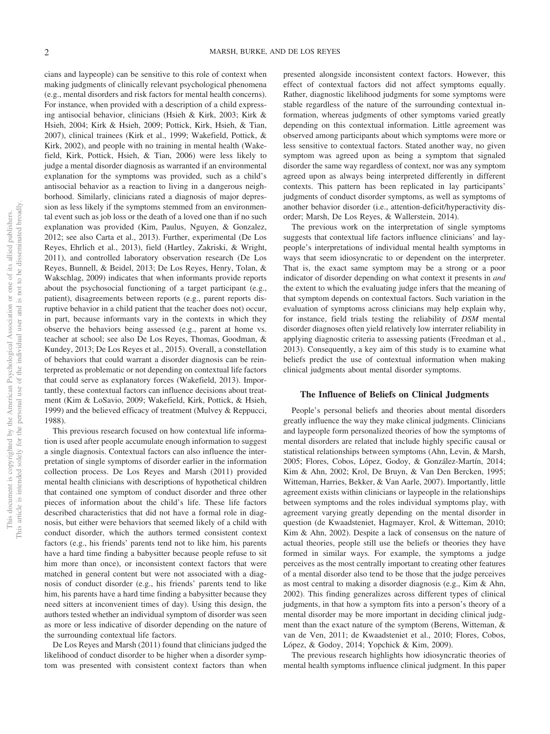cians and laypeople) can be sensitive to this role of context when making judgments of clinically relevant psychological phenomena (e.g., mental disorders and risk factors for mental health concerns). For instance, when provided with a description of a child expressing antisocial behavior, clinicians (Hsieh & Kirk, 2003; Kirk & Hsieh, 2004; Kirk & Hsieh, 2009; Pottick, Kirk, Hsieh, & Tian, 2007), clinical trainees (Kirk et al., 1999; Wakefield, Pottick, & Kirk, 2002), and people with no training in mental health (Wakefield, Kirk, Pottick, Hsieh, & Tian, 2006) were less likely to judge a mental disorder diagnosis as warranted if an environmental explanation for the symptoms was provided, such as a child's antisocial behavior as a reaction to living in a dangerous neighborhood. Similarly, clinicians rated a diagnosis of major depression as less likely if the symptoms stemmed from an environmental event such as job loss or the death of a loved one than if no such explanation was provided (Kim, Paulus, Nguyen, & Gonzalez, 2012; see also Carta et al., 2013). Further, experimental (De Los Reyes, Ehrlich et al., 2013), field (Hartley, Zakriski, & Wright, 2011), and controlled laboratory observation research (De Los Reyes, Bunnell, & Beidel, 2013; De Los Reyes, Henry, Tolan, & Wakschlag, 2009) indicates that when informants provide reports about the psychosocial functioning of a target participant (e.g., patient), disagreements between reports (e.g., parent reports disruptive behavior in a child patient that the teacher does not) occur, in part, because informants vary in the contexts in which they observe the behaviors being assessed (e.g., parent at home vs. teacher at school; see also De Los Reyes, Thomas, Goodman, & Kundey, 2013; De Los Reyes et al., 2015). Overall, a constellation of behaviors that could warrant a disorder diagnosis can be reinterpreted as problematic or not depending on contextual life factors that could serve as explanatory forces (Wakefield, 2013). Importantly, these contextual factors can influence decisions about treatment (Kim & LoSavio, 2009; Wakefield, Kirk, Pottick, & Hsieh, 1999) and the believed efficacy of treatment (Mulvey & Reppucci, 1988).

This previous research focused on how contextual life information is used after people accumulate enough information to suggest a single diagnosis. Contextual factors can also influence the interpretation of single symptoms of disorder earlier in the information collection process. De Los Reyes and Marsh (2011) provided mental health clinicians with descriptions of hypothetical children that contained one symptom of conduct disorder and three other pieces of information about the child's life. These life factors described characteristics that did not have a formal role in diagnosis, but either were behaviors that seemed likely of a child with conduct disorder, which the authors termed consistent context factors (e.g., his friends' parents tend not to like him, his parents have a hard time finding a babysitter because people refuse to sit him more than once), or inconsistent context factors that were matched in general content but were not associated with a diagnosis of conduct disorder (e.g., his friends' parents tend to like him, his parents have a hard time finding a babysitter because they need sitters at inconvenient times of day). Using this design, the authors tested whether an individual symptom of disorder was seen as more or less indicative of disorder depending on the nature of the surrounding contextual life factors.

De Los Reyes and Marsh (2011) found that clinicians judged the likelihood of conduct disorder to be higher when a disorder symptom was presented with consistent context factors than when

presented alongside inconsistent context factors. However, this effect of contextual factors did not affect symptoms equally. Rather, diagnostic likelihood judgments for some symptoms were stable regardless of the nature of the surrounding contextual information, whereas judgments of other symptoms varied greatly depending on this contextual information. Little agreement was observed among participants about which symptoms were more or less sensitive to contextual factors. Stated another way, no given symptom was agreed upon as being a symptom that signaled disorder the same way regardless of context, nor was any symptom agreed upon as always being interpreted differently in different contexts. This pattern has been replicated in lay participants' judgments of conduct disorder symptoms, as well as symptoms of another behavior disorder (i.e., attention-deficit/hyperactivity disorder; Marsh, De Los Reyes, & Wallerstein, 2014).

The previous work on the interpretation of single symptoms suggests that contextual life factors influence clinicians' and laypeople's interpretations of individual mental health symptoms in ways that seem idiosyncratic to or dependent on the interpreter. That is, the exact same symptom may be a strong or a poor indicator of disorder depending on what context it presents in *and* the extent to which the evaluating judge infers that the meaning of that symptom depends on contextual factors. Such variation in the evaluation of symptoms across clinicians may help explain why, for instance, field trials testing the reliability of *DSM* mental disorder diagnoses often yield relatively low interrater reliability in applying diagnostic criteria to assessing patients (Freedman et al., 2013). Consequently, a key aim of this study is to examine what beliefs predict the use of contextual information when making clinical judgments about mental disorder symptoms.

# **The Influence of Beliefs on Clinical Judgments**

People's personal beliefs and theories about mental disorders greatly influence the way they make clinical judgments. Clinicians and laypeople form personalized theories of how the symptoms of mental disorders are related that include highly specific causal or statistical relationships between symptoms (Ahn, Levin, & Marsh, 2005; Flores, Cobos, López, Godoy, & González-Martín, 2014; Kim & Ahn, 2002; Krol, De Bruyn, & Van Den Bercken, 1995; Witteman, Harries, Bekker, & Van Aarle, 2007). Importantly, little agreement exists within clinicians or laypeople in the relationships between symptoms and the roles individual symptoms play, with agreement varying greatly depending on the mental disorder in question (de Kwaadsteniet, Hagmayer, Krol, & Witteman, 2010; Kim & Ahn, 2002). Despite a lack of consensus on the nature of actual theories, people still use the beliefs or theories they have formed in similar ways. For example, the symptoms a judge perceives as the most centrally important to creating other features of a mental disorder also tend to be those that the judge perceives as most central to making a disorder diagnosis (e.g., Kim & Ahn, 2002). This finding generalizes across different types of clinical judgments, in that how a symptom fits into a person's theory of a mental disorder may be more important in deciding clinical judgment than the exact nature of the symptom (Berens, Witteman, & van de Ven, 2011; de Kwaadsteniet et al., 2010; Flores, Cobos, López, & Godoy, 2014; Yopchick & Kim, 2009).

The previous research highlights how idiosyncratic theories of mental health symptoms influence clinical judgment. In this paper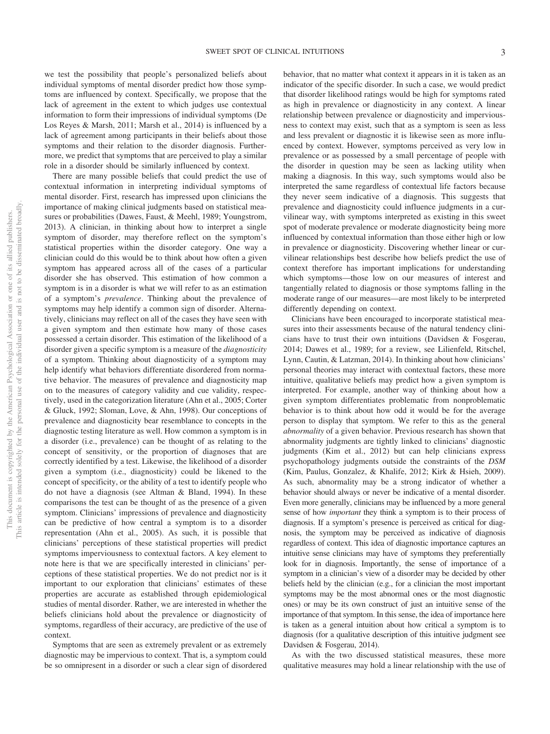we test the possibility that people's personalized beliefs about individual symptoms of mental disorder predict how those symptoms are influenced by context. Specifically, we propose that the lack of agreement in the extent to which judges use contextual information to form their impressions of individual symptoms (De Los Reyes & Marsh, 2011; Marsh et al., 2014) is influenced by a lack of agreement among participants in their beliefs about those symptoms and their relation to the disorder diagnosis. Furthermore, we predict that symptoms that are perceived to play a similar role in a disorder should be similarly influenced by context.

There are many possible beliefs that could predict the use of contextual information in interpreting individual symptoms of mental disorder. First, research has impressed upon clinicians the importance of making clinical judgments based on statistical measures or probabilities (Dawes, Faust, & Meehl, 1989; Youngstrom, 2013). A clinician, in thinking about how to interpret a single symptom of disorder, may therefore reflect on the symptom's statistical properties within the disorder category. One way a clinician could do this would be to think about how often a given symptom has appeared across all of the cases of a particular disorder she has observed. This estimation of how common a symptom is in a disorder is what we will refer to as an estimation of a symptom's *prevalence*. Thinking about the prevalence of symptoms may help identify a common sign of disorder. Alternatively, clinicians may reflect on all of the cases they have seen with a given symptom and then estimate how many of those cases possessed a certain disorder. This estimation of the likelihood of a disorder given a specific symptom is a measure of the *diagnosticity* of a symptom. Thinking about diagnosticity of a symptom may help identify what behaviors differentiate disordered from normative behavior. The measures of prevalence and diagnosticity map on to the measures of category validity and cue validity, respectively, used in the categorization literature (Ahn et al., 2005; Corter & Gluck, 1992; Sloman, Love, & Ahn, 1998). Our conceptions of prevalence and diagnosticity bear resemblance to concepts in the diagnostic testing literature as well. How common a symptom is in a disorder (i.e., prevalence) can be thought of as relating to the concept of sensitivity, or the proportion of diagnoses that are correctly identified by a test. Likewise, the likelihood of a disorder given a symptom (i.e., diagnosticity) could be likened to the concept of specificity, or the ability of a test to identify people who do not have a diagnosis (see Altman & Bland, 1994). In these comparisons the test can be thought of as the presence of a given symptom. Clinicians' impressions of prevalence and diagnosticity can be predictive of how central a symptom is to a disorder representation (Ahn et al., 2005). As such, it is possible that clinicians' perceptions of these statistical properties will predict symptoms imperviousness to contextual factors. A key element to note here is that we are specifically interested in clinicians' perceptions of these statistical properties. We do not predict nor is it important to our exploration that clinicians' estimates of these properties are accurate as established through epidemiological studies of mental disorder. Rather, we are interested in whether the beliefs clinicians hold about the prevalence or diagnosticity of symptoms, regardless of their accuracy, are predictive of the use of context.

Symptoms that are seen as extremely prevalent or as extremely diagnostic may be impervious to context. That is, a symptom could be so omnipresent in a disorder or such a clear sign of disordered behavior, that no matter what context it appears in it is taken as an indicator of the specific disorder. In such a case, we would predict that disorder likelihood ratings would be high for symptoms rated as high in prevalence or diagnosticity in any context. A linear relationship between prevalence or diagnosticity and imperviousness to context may exist, such that as a symptom is seen as less and less prevalent or diagnostic it is likewise seen as more influenced by context. However, symptoms perceived as very low in prevalence or as possessed by a small percentage of people with the disorder in question may be seen as lacking utility when making a diagnosis. In this way, such symptoms would also be interpreted the same regardless of contextual life factors because they never seem indicative of a diagnosis. This suggests that prevalence and diagnosticity could influence judgments in a curvilinear way, with symptoms interpreted as existing in this sweet spot of moderate prevalence or moderate diagnosticity being more influenced by contextual information than those either high or low in prevalence or diagnosticity. Discovering whether linear or curvilinear relationships best describe how beliefs predict the use of context therefore has important implications for understanding which symptoms—those low on our measures of interest and tangentially related to diagnosis or those symptoms falling in the moderate range of our measures—are most likely to be interpreted differently depending on context.

Clinicians have been encouraged to incorporate statistical measures into their assessments because of the natural tendency clinicians have to trust their own intuitions (Davidsen & Fosgerau, 2014; Dawes et al., 1989; for a review, see Lilienfeld, Ritschel, Lynn, Cautin, & Latzman, 2014). In thinking about how clinicians' personal theories may interact with contextual factors, these more intuitive, qualitative beliefs may predict how a given symptom is interpreted. For example, another way of thinking about how a given symptom differentiates problematic from nonproblematic behavior is to think about how odd it would be for the average person to display that symptom. We refer to this as the general *abnormality* of a given behavior. Previous research has shown that abnormality judgments are tightly linked to clinicians' diagnostic judgments (Kim et al., 2012) but can help clinicians express psychopathology judgments outside the constraints of the *DSM* (Kim, Paulus, Gonzalez, & Khalife, 2012; Kirk & Hsieh, 2009). As such, abnormality may be a strong indicator of whether a behavior should always or never be indicative of a mental disorder. Even more generally, clinicians may be influenced by a more general sense of how *important* they think a symptom is to their process of diagnosis. If a symptom's presence is perceived as critical for diagnosis, the symptom may be perceived as indicative of diagnosis regardless of context. This idea of diagnostic importance captures an intuitive sense clinicians may have of symptoms they preferentially look for in diagnosis. Importantly, the sense of importance of a symptom in a clinician's view of a disorder may be decided by other beliefs held by the clinician (e.g., for a clinician the most important symptoms may be the most abnormal ones or the most diagnostic ones) or may be its own construct of just an intuitive sense of the importance of that symptom. In this sense, the idea of importance here is taken as a general intuition about how critical a symptom is to diagnosis (for a qualitative description of this intuitive judgment see Davidsen & Fosgerau, 2014).

As with the two discussed statistical measures, these more qualitative measures may hold a linear relationship with the use of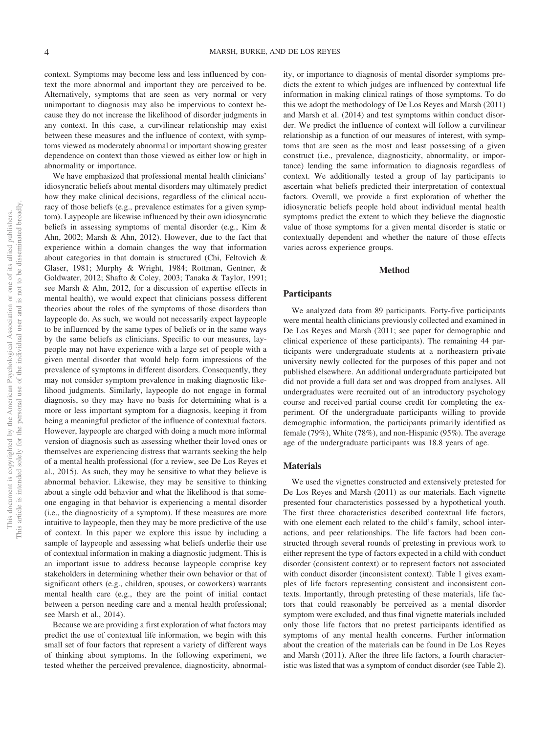context. Symptoms may become less and less influenced by context the more abnormal and important they are perceived to be. Alternatively, symptoms that are seen as very normal or very unimportant to diagnosis may also be impervious to context because they do not increase the likelihood of disorder judgments in any context. In this case, a curvilinear relationship may exist between these measures and the influence of context, with symptoms viewed as moderately abnormal or important showing greater dependence on context than those viewed as either low or high in abnormality or importance.

We have emphasized that professional mental health clinicians' idiosyncratic beliefs about mental disorders may ultimately predict how they make clinical decisions, regardless of the clinical accuracy of those beliefs (e.g., prevalence estimates for a given symptom). Laypeople are likewise influenced by their own idiosyncratic beliefs in assessing symptoms of mental disorder (e.g., Kim & Ahn, 2002; Marsh & Ahn, 2012). However, due to the fact that experience within a domain changes the way that information about categories in that domain is structured (Chi, Feltovich & Glaser, 1981; Murphy & Wright, 1984; Rottman, Gentner, & Goldwater, 2012; Shafto & Coley, 2003; Tanaka & Taylor, 1991; see Marsh & Ahn, 2012, for a discussion of expertise effects in mental health), we would expect that clinicians possess different theories about the roles of the symptoms of those disorders than laypeople do. As such, we would not necessarily expect laypeople to be influenced by the same types of beliefs or in the same ways by the same beliefs as clinicians. Specific to our measures, laypeople may not have experience with a large set of people with a given mental disorder that would help form impressions of the prevalence of symptoms in different disorders. Consequently, they may not consider symptom prevalence in making diagnostic likelihood judgments. Similarly, laypeople do not engage in formal diagnosis, so they may have no basis for determining what is a more or less important symptom for a diagnosis, keeping it from being a meaningful predictor of the influence of contextual factors. However, laypeople are charged with doing a much more informal version of diagnosis such as assessing whether their loved ones or themselves are experiencing distress that warrants seeking the help of a mental health professional (for a review, see De Los Reyes et al., 2015). As such, they may be sensitive to what they believe is abnormal behavior. Likewise, they may be sensitive to thinking about a single odd behavior and what the likelihood is that someone engaging in that behavior is experiencing a mental disorder (i.e., the diagnosticity of a symptom). If these measures are more intuitive to laypeople, then they may be more predictive of the use of context. In this paper we explore this issue by including a sample of laypeople and assessing what beliefs underlie their use of contextual information in making a diagnostic judgment. This is an important issue to address because laypeople comprise key stakeholders in determining whether their own behavior or that of significant others (e.g., children, spouses, or coworkers) warrants mental health care (e.g., they are the point of initial contact between a person needing care and a mental health professional; see Marsh et al., 2014).

Because we are providing a first exploration of what factors may predict the use of contextual life information, we begin with this small set of four factors that represent a variety of different ways of thinking about symptoms. In the following experiment, we tested whether the perceived prevalence, diagnosticity, abnormality, or importance to diagnosis of mental disorder symptoms predicts the extent to which judges are influenced by contextual life information in making clinical ratings of those symptoms. To do this we adopt the methodology of De Los Reyes and Marsh (2011) and Marsh et al. (2014) and test symptoms within conduct disorder. We predict the influence of context will follow a curvilinear relationship as a function of our measures of interest, with symptoms that are seen as the most and least possessing of a given construct (i.e., prevalence, diagnosticity, abnormality, or importance) lending the same information to diagnosis regardless of context. We additionally tested a group of lay participants to ascertain what beliefs predicted their interpretation of contextual factors. Overall, we provide a first exploration of whether the idiosyncratic beliefs people hold about individual mental health symptoms predict the extent to which they believe the diagnostic value of those symptoms for a given mental disorder is static or contextually dependent and whether the nature of those effects varies across experience groups.

### **Method**

#### **Participants**

We analyzed data from 89 participants. Forty-five participants were mental health clinicians previously collected and examined in De Los Reyes and Marsh (2011; see paper for demographic and clinical experience of these participants). The remaining 44 participants were undergraduate students at a northeastern private university newly collected for the purposes of this paper and not published elsewhere. An additional undergraduate participated but did not provide a full data set and was dropped from analyses. All undergraduates were recruited out of an introductory psychology course and received partial course credit for completing the experiment. Of the undergraduate participants willing to provide demographic information, the participants primarily identified as female (79%), White (78%), and non-Hispanic (95%). The average age of the undergraduate participants was 18.8 years of age.

### **Materials**

We used the vignettes constructed and extensively pretested for De Los Reyes and Marsh (2011) as our materials. Each vignette presented four characteristics possessed by a hypothetical youth. The first three characteristics described contextual life factors, with one element each related to the child's family, school interactions, and peer relationships. The life factors had been constructed through several rounds of pretesting in previous work to either represent the type of factors expected in a child with conduct disorder (consistent context) or to represent factors not associated with conduct disorder (inconsistent context). Table 1 gives examples of life factors representing consistent and inconsistent contexts. Importantly, through pretesting of these materials, life factors that could reasonably be perceived as a mental disorder symptom were excluded, and thus final vignette materials included only those life factors that no pretest participants identified as symptoms of any mental health concerns. Further information about the creation of the materials can be found in De Los Reyes and Marsh (2011). After the three life factors, a fourth characteristic was listed that was a symptom of conduct disorder (see Table 2).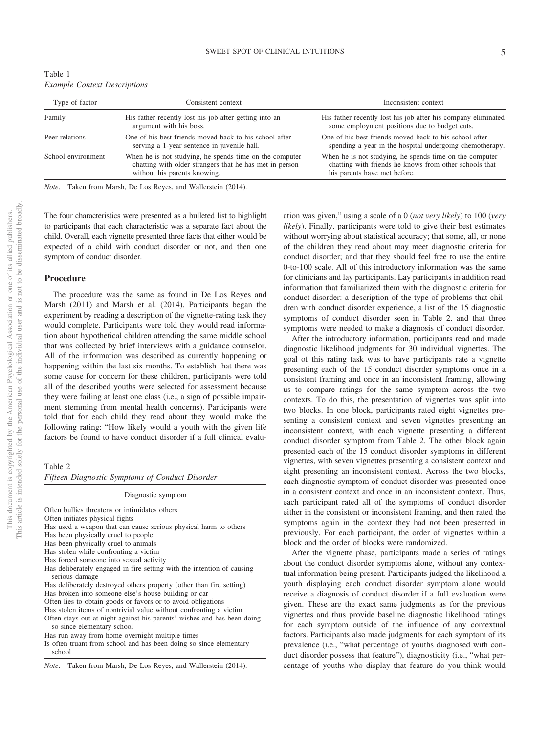| Table 1                             |  |  |
|-------------------------------------|--|--|
| <b>Example Context Descriptions</b> |  |  |

| Consistent context                                      | Inconsistent context                                          |
|---------------------------------------------------------|---------------------------------------------------------------|
| His father recently lost his job after getting into an  | His father recently lost his job after his company eliminated |
| argument with his boss.                                 | some employment positions due to budget cuts.                 |
| One of his best friends moved back to his school after  | One of his best friends moved back to his school after        |
| serving a 1-year sentence in juvenile hall.             | spending a year in the hospital undergoing chemotherapy.      |
| When he is not studying, he spends time on the computer | When he is not studying, he spends time on the computer       |
| chatting with older strangers that he has met in person | chatting with friends he knows from other schools that        |
| without his parents knowing.                            | his parents have met before.                                  |
|                                                         |                                                               |

*Note*. Taken from Marsh, De Los Reyes, and Wallerstein (2014).

The four characteristics were presented as a bulleted list to highlight to participants that each characteristic was a separate fact about the child. Overall, each vignette presented three facts that either would be expected of a child with conduct disorder or not, and then one symptom of conduct disorder.

#### **Procedure**

The procedure was the same as found in De Los Reyes and Marsh (2011) and Marsh et al. (2014). Participants began the experiment by reading a description of the vignette-rating task they would complete. Participants were told they would read information about hypothetical children attending the same middle school that was collected by brief interviews with a guidance counselor. All of the information was described as currently happening or happening within the last six months. To establish that there was some cause for concern for these children, participants were told all of the described youths were selected for assessment because they were failing at least one class (i.e., a sign of possible impairment stemming from mental health concerns). Participants were told that for each child they read about they would make the following rating: "How likely would a youth with the given life factors be found to have conduct disorder if a full clinical evalu-

Table 2

*Fifteen Diagnostic Symptoms of Conduct Disorder*

| Diagnostic symptom                                                                                    |
|-------------------------------------------------------------------------------------------------------|
| Often bullies threatens or intimidates others                                                         |
| Often initiates physical fights                                                                       |
| Has used a weapon that can cause serious physical harm to others                                      |
| Has been physically cruel to people                                                                   |
| Has been physically cruel to animals                                                                  |
| Has stolen while confronting a victim                                                                 |
| Has forced someone into sexual activity                                                               |
| Has deliberately engaged in fire setting with the intention of causing<br>serious damage              |
| Has deliberately destroyed others property (other than fire setting)                                  |
| Has broken into someone else's house building or car                                                  |
| Often lies to obtain goods or favors or to avoid obligations                                          |
| Has stolen items of nontrivial value without confronting a victim                                     |
| Often stays out at night against his parents' wishes and has been doing<br>so since elementary school |
| Has run away from home overnight multiple times                                                       |
| Is often truant from school and has been doing so since elementary<br>school                          |

|  | Note. |  |  |  |  |  |  |  | Taken from Marsh, De Los Reyes, and Wallerstein (2014). |  |  |
|--|-------|--|--|--|--|--|--|--|---------------------------------------------------------|--|--|
|--|-------|--|--|--|--|--|--|--|---------------------------------------------------------|--|--|

ation was given," using a scale ofa0(*not very likely*) to 100 (*very likely*). Finally, participants were told to give their best estimates without worrying about statistical accuracy; that some, all, or none of the children they read about may meet diagnostic criteria for conduct disorder; and that they should feel free to use the entire 0-to-100 scale. All of this introductory information was the same for clinicians and lay participants. Lay participants in addition read information that familiarized them with the diagnostic criteria for conduct disorder: a description of the type of problems that children with conduct disorder experience, a list of the 15 diagnostic symptoms of conduct disorder seen in Table 2, and that three symptoms were needed to make a diagnosis of conduct disorder.

After the introductory information, participants read and made diagnostic likelihood judgments for 30 individual vignettes. The goal of this rating task was to have participants rate a vignette presenting each of the 15 conduct disorder symptoms once in a consistent framing and once in an inconsistent framing, allowing us to compare ratings for the same symptom across the two contexts. To do this, the presentation of vignettes was split into two blocks. In one block, participants rated eight vignettes presenting a consistent context and seven vignettes presenting an inconsistent context, with each vignette presenting a different conduct disorder symptom from Table 2. The other block again presented each of the 15 conduct disorder symptoms in different vignettes, with seven vignettes presenting a consistent context and eight presenting an inconsistent context. Across the two blocks, each diagnostic symptom of conduct disorder was presented once in a consistent context and once in an inconsistent context. Thus, each participant rated all of the symptoms of conduct disorder either in the consistent or inconsistent framing, and then rated the symptoms again in the context they had not been presented in previously. For each participant, the order of vignettes within a block and the order of blocks were randomized.

After the vignette phase, participants made a series of ratings about the conduct disorder symptoms alone, without any contextual information being present. Participants judged the likelihood a youth displaying each conduct disorder symptom alone would receive a diagnosis of conduct disorder if a full evaluation were given. These are the exact same judgments as for the previous vignettes and thus provide baseline diagnostic likelihood ratings for each symptom outside of the influence of any contextual factors. Participants also made judgments for each symptom of its prevalence (i.e., "what percentage of youths diagnosed with conduct disorder possess that feature"), diagnosticity (i.e., "what percentage of youths who display that feature do you think would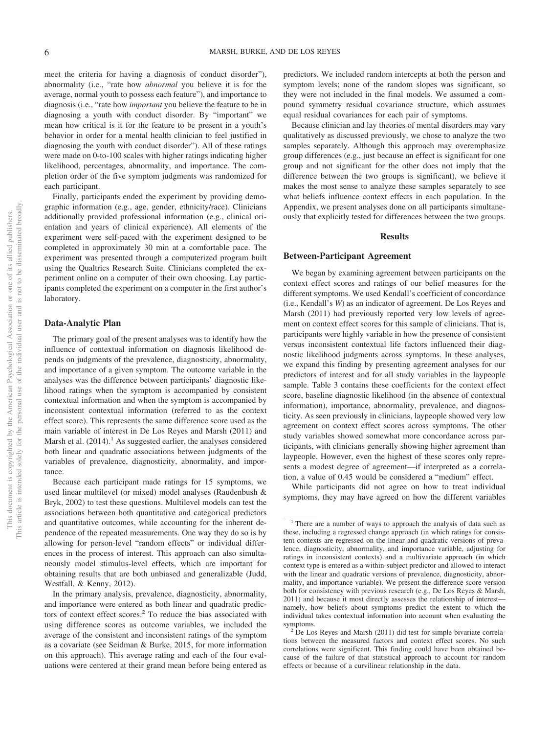meet the criteria for having a diagnosis of conduct disorder"), abnormality (i.e., "rate how *abnormal* you believe it is for the average, normal youth to possess each feature"), and importance to diagnosis (i.e., "rate how *important* you believe the feature to be in diagnosing a youth with conduct disorder. By "important" we mean how critical is it for the feature to be present in a youth's behavior in order for a mental health clinician to feel justified in diagnosing the youth with conduct disorder"). All of these ratings were made on 0-to-100 scales with higher ratings indicating higher likelihood, percentages, abnormality, and importance. The completion order of the five symptom judgments was randomized for each participant.

Finally, participants ended the experiment by providing demographic information (e.g., age, gender, ethnicity/race). Clinicians additionally provided professional information (e.g., clinical orientation and years of clinical experience). All elements of the experiment were self-paced with the experiment designed to be completed in approximately 30 min at a comfortable pace. The experiment was presented through a computerized program built using the Qualtrics Research Suite. Clinicians completed the experiment online on a computer of their own choosing. Lay participants completed the experiment on a computer in the first author's laboratory.

### **Data-Analytic Plan**

The primary goal of the present analyses was to identify how the influence of contextual information on diagnosis likelihood depends on judgments of the prevalence, diagnosticity, abnormality, and importance of a given symptom. The outcome variable in the analyses was the difference between participants' diagnostic likelihood ratings when the symptom is accompanied by consistent contextual information and when the symptom is accompanied by inconsistent contextual information (referred to as the context effect score). This represents the same difference score used as the main variable of interest in De Los Reyes and Marsh (2011) and Marsh et al.  $(2014)$ .<sup>1</sup> As suggested earlier, the analyses considered both linear and quadratic associations between judgments of the variables of prevalence, diagnosticity, abnormality, and importance.

Because each participant made ratings for 15 symptoms, we used linear multilevel (or mixed) model analyses (Raudenbush & Bryk, 2002) to test these questions. Multilevel models can test the associations between both quantitative and categorical predictors and quantitative outcomes, while accounting for the inherent dependence of the repeated measurements. One way they do so is by allowing for person-level "random effects" or individual differences in the process of interest. This approach can also simultaneously model stimulus-level effects, which are important for obtaining results that are both unbiased and generalizable (Judd, Westfall, & Kenny, 2012).

In the primary analysis, prevalence, diagnosticity, abnormality, and importance were entered as both linear and quadratic predictors of context effect scores.<sup>2</sup> To reduce the bias associated with using difference scores as outcome variables, we included the average of the consistent and inconsistent ratings of the symptom as a covariate (see Seidman & Burke, 2015, for more information on this approach). This average rating and each of the four evaluations were centered at their grand mean before being entered as predictors. We included random intercepts at both the person and symptom levels; none of the random slopes was significant, so they were not included in the final models. We assumed a compound symmetry residual covariance structure, which assumes equal residual covariances for each pair of symptoms.

Because clinician and lay theories of mental disorders may vary qualitatively as discussed previously, we chose to analyze the two samples separately. Although this approach may overemphasize group differences (e.g., just because an effect is significant for one group and not significant for the other does not imply that the difference between the two groups is significant), we believe it makes the most sense to analyze these samples separately to see what beliefs influence context effects in each population. In the Appendix, we present analyses done on all participants simultaneously that explicitly tested for differences between the two groups.

#### **Results**

#### **Between-Participant Agreement**

We began by examining agreement between participants on the context effect scores and ratings of our belief measures for the different symptoms. We used Kendall's coefficient of concordance (i.e., Kendall's *W*) as an indicator of agreement. De Los Reyes and Marsh (2011) had previously reported very low levels of agreement on context effect scores for this sample of clinicians. That is, participants were highly variable in how the presence of consistent versus inconsistent contextual life factors influenced their diagnostic likelihood judgments across symptoms. In these analyses, we expand this finding by presenting agreement analyses for our predictors of interest and for all study variables in the laypeople sample. Table 3 contains these coefficients for the context effect score, baseline diagnostic likelihood (in the absence of contextual information), importance, abnormality, prevalence, and diagnosticity. As seen previously in clinicians, laypeople showed very low agreement on context effect scores across symptoms. The other study variables showed somewhat more concordance across participants, with clinicians generally showing higher agreement than laypeople. However, even the highest of these scores only represents a modest degree of agreement—if interpreted as a correlation, a value of 0.45 would be considered a "medium" effect.

While participants did not agree on how to treat individual symptoms, they may have agreed on how the different variables

<sup>&</sup>lt;sup>1</sup> There are a number of ways to approach the analysis of data such as these, including a regressed change approach (in which ratings for consistent contexts are regressed on the linear and quadratic versions of prevalence, diagnosticity, abnormality, and importance variable, adjusting for ratings in inconsistent contexts) and a multivariate approach (in which context type is entered as a within-subject predictor and allowed to interact with the linear and quadratic versions of prevalence, diagnosticity, abnormality, and importance variable). We present the difference score version both for consistency with previous research (e.g., De Los Reyes & Marsh, 2011) and because it most directly assesses the relationship of interest namely, how beliefs about symptoms predict the extent to which the individual takes contextual information into account when evaluating the

 $s<sup>2</sup>$  De Los Reyes and Marsh (2011) did test for simple bivariate correlations between the measured factors and context effect scores. No such correlations were significant. This finding could have been obtained because of the failure of that statistical approach to account for random effects or because of a curvilinear relationship in the data.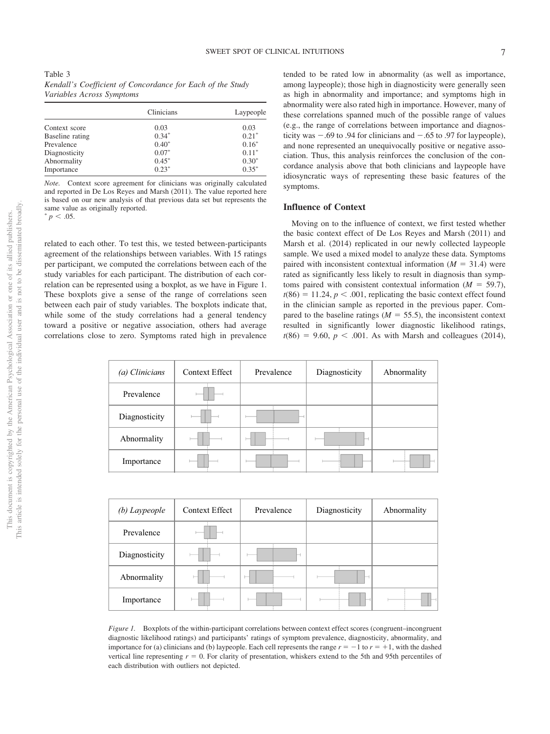| Table 3 |                                                            |  |
|---------|------------------------------------------------------------|--|
|         | Kendall's Coefficient of Concordance for Each of the Study |  |
|         | Variables Across Symptoms                                  |  |

|                 | Clinicians | Laypeople |
|-----------------|------------|-----------|
| Context score   | 0.03       | 0.03      |
| Baseline rating | $0.34*$    | $0.21*$   |
| Prevalence      | $0.40*$    | $0.16*$   |
| Diagnosticity   | $0.07*$    | $0.11*$   |
| Abnormality     | $0.45*$    | $0.30*$   |
| Importance      | $0.23*$    | $0.35*$   |

*Note.* Context score agreement for clinicians was originally calculated and reported in De Los Reyes and Marsh (2011). The value reported here is based on our new analysis of that previous data set but represents the same value as originally reported.

 $p < .05$ .

related to each other. To test this, we tested between-participants agreement of the relationships between variables. With 15 ratings per participant, we computed the correlations between each of the study variables for each participant. The distribution of each correlation can be represented using a boxplot, as we have in Figure 1. These boxplots give a sense of the range of correlations seen between each pair of study variables. The boxplots indicate that, while some of the study correlations had a general tendency toward a positive or negative association, others had average correlations close to zero. Symptoms rated high in prevalence tended to be rated low in abnormality (as well as importance, among laypeople); those high in diagnosticity were generally seen as high in abnormality and importance; and symptoms high in abnormality were also rated high in importance. However, many of these correlations spanned much of the possible range of values (e.g., the range of correlations between importance and diagnosticity was  $-.69$  to  $.94$  for clinicians and  $-.65$  to  $.97$  for laypeople), and none represented an unequivocally positive or negative association. Thus, this analysis reinforces the conclusion of the concordance analysis above that both clinicians and laypeople have idiosyncratic ways of representing these basic features of the symptoms.

#### **Influence of Context**

Moving on to the influence of context, we first tested whether the basic context effect of De Los Reyes and Marsh (2011) and Marsh et al. (2014) replicated in our newly collected laypeople sample. We used a mixed model to analyze these data. Symptoms paired with inconsistent contextual information  $(M = 31.4)$  were rated as significantly less likely to result in diagnosis than symptoms paired with consistent contextual information  $(M = 59.7)$ ,  $t(86) = 11.24$ ,  $p < .001$ , replicating the basic context effect found in the clinician sample as reported in the previous paper. Compared to the baseline ratings ( $M = 55.5$ ), the inconsistent context resulted in significantly lower diagnostic likelihood ratings,  $t(86) = 9.60, p < .001$ . As with Marsh and colleagues (2014),

| (a) Clinicians | <b>Context Effect</b> | Prevalence |  | Diagnosticity |  | Abnormality |
|----------------|-----------------------|------------|--|---------------|--|-------------|
| Prevalence     |                       |            |  |               |  |             |
| Diagnosticity  |                       |            |  |               |  |             |
| Abnormality    |                       |            |  |               |  |             |
| Importance     |                       |            |  |               |  |             |

| (b) Laypeople | <b>Context Effect</b> | Prevalence               | Diagnosticity | Abnormality |
|---------------|-----------------------|--------------------------|---------------|-------------|
| Prevalence    |                       |                          |               |             |
| Diagnosticity |                       |                          |               |             |
| Abnormality   |                       | $\overline{\phantom{0}}$ |               |             |
| Importance    |                       |                          |               |             |

*Figure 1.* Boxplots of the within-participant correlations between context effect scores (congruent–incongruent diagnostic likelihood ratings) and participants' ratings of symptom prevalence, diagnosticity, abnormality, and importance for (a) clinicians and (b) laypeople. Each cell represents the range  $r = -1$  to  $r = +1$ , with the dashed vertical line representing  $r = 0$ . For clarity of presentation, whiskers extend to the 5th and 95th percentiles of each distribution with outliers not depicted.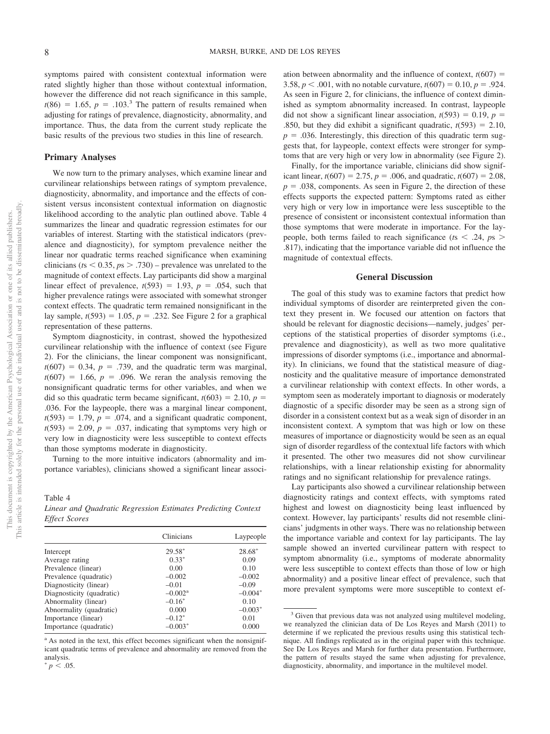symptoms paired with consistent contextual information were rated slightly higher than those without contextual information, however the difference did not reach significance in this sample,  $t(86) = 1.65$ ,  $p = .103$ .<sup>3</sup> The pattern of results remained when adjusting for ratings of prevalence, diagnosticity, abnormality, and importance. Thus, the data from the current study replicate the basic results of the previous two studies in this line of research.

#### **Primary Analyses**

We now turn to the primary analyses, which examine linear and curvilinear relationships between ratings of symptom prevalence, diagnosticity, abnormality, and importance and the effects of consistent versus inconsistent contextual information on diagnostic likelihood according to the analytic plan outlined above. Table 4 summarizes the linear and quadratic regression estimates for our variables of interest. Starting with the statistical indicators (prevalence and diagnosticity), for symptom prevalence neither the linear nor quadratic terms reached significance when examining clinicians ( $ts < 0.35$ ,  $ps > .730$ ) – prevalence was unrelated to the magnitude of context effects. Lay participants did show a marginal linear effect of prevalence,  $t(593) = 1.93$ ,  $p = .054$ , such that higher prevalence ratings were associated with somewhat stronger context effects. The quadratic term remained nonsignificant in the lay sample,  $t(593) = 1.05$ ,  $p = .232$ . See Figure 2 for a graphical representation of these patterns.

Symptom diagnosticity, in contrast, showed the hypothesized curvilinear relationship with the influence of context (see Figure 2). For the clinicians, the linear component was nonsignificant,  $t(607) = 0.34$ ,  $p = .739$ , and the quadratic term was marginal,  $t(607) = 1.66$ ,  $p = .096$ . We reran the analysis removing the nonsignificant quadratic terms for other variables, and when we did so this quadratic term became significant,  $t(603) = 2.10$ ,  $p =$ .036. For the laypeople, there was a marginal linear component,  $t(593) = 1.79$ ,  $p = .074$ , and a significant quadratic component,  $t(593) = 2.09$ ,  $p = .037$ , indicating that symptoms very high or very low in diagnosticity were less susceptible to context effects than those symptoms moderate in diagnosticity.

Turning to the more intuitive indicators (abnormality and importance variables), clinicians showed a significant linear associ-

Table 4 *Linear and Quadratic Regression Estimates Predicting Context Effect Scores*

|                           | Clinicians            | Laypeople |
|---------------------------|-----------------------|-----------|
| Intercept                 | 29.58*                | 28.68*    |
| Average rating            | $0.33*$               | 0.09      |
| Prevalence (linear)       | 0.00                  | 0.10      |
| Prevalence (quadratic)    | $-0.002$              | $-0.002$  |
| Diagnosticity (linear)    | $-0.01$               | $-0.09$   |
| Diagnosticity (quadratic) | $-0.002$ <sup>a</sup> | $-0.004*$ |
| Abnormality (linear)      | $-0.16^*$             | 0.10      |
| Abnormality (quadratic)   | 0.000                 | $-0.003*$ |
| Importance (linear)       | $-0.12*$              | 0.01      |
| Importance (quadratic)    | $-0.003*$             | 0.000     |

<sup>a</sup> As noted in the text, this effect becomes significant when the nonsignificant quadratic terms of prevalence and abnormality are removed from the analysis.  $p \leq .05$ .

ation between abnormality and the influence of context,  $t(607)$  = 3.58,  $p < .001$ , with no notable curvature,  $t(607) = 0.10$ ,  $p = .924$ . As seen in Figure 2, for clinicians, the influence of context diminished as symptom abnormality increased. In contrast, laypeople did not show a significant linear association,  $t(593) = 0.19$ ,  $p =$ .850, but they did exhibit a significant quadratic,  $t(593) = 2.10$ ,  $p = .036$ . Interestingly, this direction of this quadratic term suggests that, for laypeople, context effects were stronger for symptoms that are very high or very low in abnormality (see Figure 2).

Finally, for the importance variable, clinicians did show significant linear,  $t(607) = 2.75$ ,  $p = .006$ , and quadratic,  $t(607) = 2.08$ ,  $p = .038$ , components. As seen in Figure 2, the direction of these effects supports the expected pattern: Symptoms rated as either very high or very low in importance were less susceptible to the presence of consistent or inconsistent contextual information than those symptoms that were moderate in importance. For the laypeople, both terms failed to reach significance ( $t$ s  $\leq$  .24,  $p$ s  $>$ .817), indicating that the importance variable did not influence the magnitude of contextual effects.

#### **General Discussion**

The goal of this study was to examine factors that predict how individual symptoms of disorder are reinterpreted given the context they present in. We focused our attention on factors that should be relevant for diagnostic decisions—namely, judges' perceptions of the statistical properties of disorder symptoms (i.e., prevalence and diagnosticity), as well as two more qualitative impressions of disorder symptoms (i.e., importance and abnormality). In clinicians, we found that the statistical measure of diagnosticity and the qualitative measure of importance demonstrated a curvilinear relationship with context effects. In other words, a symptom seen as moderately important to diagnosis or moderately diagnostic of a specific disorder may be seen as a strong sign of disorder in a consistent context but as a weak sign of disorder in an inconsistent context. A symptom that was high or low on these measures of importance or diagnosticity would be seen as an equal sign of disorder regardless of the contextual life factors with which it presented. The other two measures did not show curvilinear relationships, with a linear relationship existing for abnormality ratings and no significant relationship for prevalence ratings.

Lay participants also showed a curvilinear relationship between diagnosticity ratings and context effects, with symptoms rated highest and lowest on diagnosticity being least influenced by context. However, lay participants' results did not resemble clinicians' judgments in other ways. There was no relationship between the importance variable and context for lay participants. The lay sample showed an inverted curvilinear pattern with respect to symptom abnormality (i.e., symptoms of moderate abnormality were less susceptible to context effects than those of low or high abnormality) and a positive linear effect of prevalence, such that more prevalent symptoms were more susceptible to context ef-

<sup>&</sup>lt;sup>3</sup> Given that previous data was not analyzed using multilevel modeling, we reanalyzed the clinician data of De Los Reyes and Marsh (2011) to determine if we replicated the previous results using this statistical technique. All findings replicated as in the original paper with this technique. See De Los Reyes and Marsh for further data presentation. Furthermore, the pattern of results stayed the same when adjusting for prevalence, diagnosticity, abnormality, and importance in the multilevel model.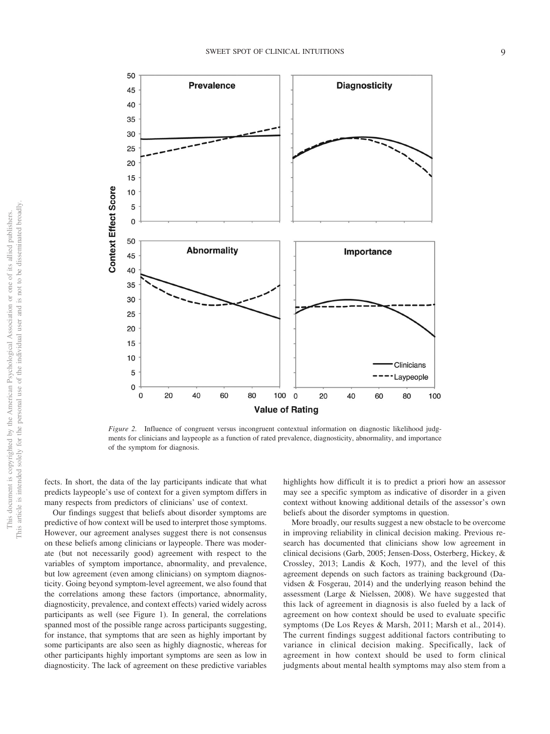

*Figure 2.* Influence of congruent versus incongruent contextual information on diagnostic likelihood judgments for clinicians and laypeople as a function of rated prevalence, diagnosticity, abnormality, and importance of the symptom for diagnosis.

fects. In short, the data of the lay participants indicate that what predicts laypeople's use of context for a given symptom differs in many respects from predictors of clinicians' use of context.

Our findings suggest that beliefs about disorder symptoms are predictive of how context will be used to interpret those symptoms. However, our agreement analyses suggest there is not consensus on these beliefs among clinicians or laypeople. There was moderate (but not necessarily good) agreement with respect to the variables of symptom importance, abnormality, and prevalence, but low agreement (even among clinicians) on symptom diagnosticity. Going beyond symptom-level agreement, we also found that the correlations among these factors (importance, abnormality, diagnosticity, prevalence, and context effects) varied widely across participants as well (see Figure 1). In general, the correlations spanned most of the possible range across participants suggesting, for instance, that symptoms that are seen as highly important by some participants are also seen as highly diagnostic, whereas for other participants highly important symptoms are seen as low in diagnosticity. The lack of agreement on these predictive variables

highlights how difficult it is to predict a priori how an assessor may see a specific symptom as indicative of disorder in a given context without knowing additional details of the assessor's own beliefs about the disorder symptoms in question.

More broadly, our results suggest a new obstacle to be overcome in improving reliability in clinical decision making. Previous research has documented that clinicians show low agreement in clinical decisions (Garb, 2005; Jensen-Doss, Osterberg, Hickey, & Crossley, 2013; Landis & Koch, 1977), and the level of this agreement depends on such factors as training background (Davidsen & Fosgerau, 2014) and the underlying reason behind the assessment (Large & Nielssen, 2008). We have suggested that this lack of agreement in diagnosis is also fueled by a lack of agreement on how context should be used to evaluate specific symptoms (De Los Reyes & Marsh, 2011; Marsh et al., 2014). The current findings suggest additional factors contributing to variance in clinical decision making. Specifically, lack of agreement in how context should be used to form clinical judgments about mental health symptoms may also stem from a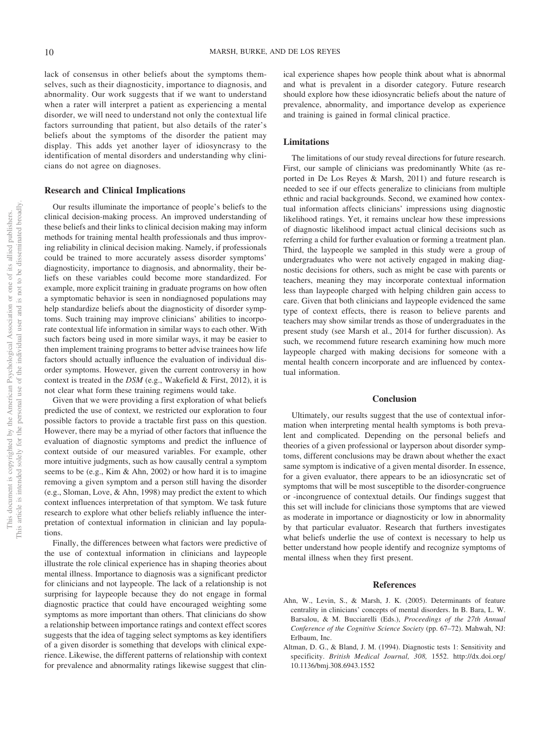lack of consensus in other beliefs about the symptoms themselves, such as their diagnosticity, importance to diagnosis, and abnormality. Our work suggests that if we want to understand when a rater will interpret a patient as experiencing a mental disorder, we will need to understand not only the contextual life factors surrounding that patient, but also details of the rater's beliefs about the symptoms of the disorder the patient may display. This adds yet another layer of idiosyncrasy to the identification of mental disorders and understanding why clinicians do not agree on diagnoses.

#### **Research and Clinical Implications**

Our results illuminate the importance of people's beliefs to the clinical decision-making process. An improved understanding of these beliefs and their links to clinical decision making may inform methods for training mental health professionals and thus improving reliability in clinical decision making. Namely, if professionals could be trained to more accurately assess disorder symptoms' diagnosticity, importance to diagnosis, and abnormality, their beliefs on these variables could become more standardized. For example, more explicit training in graduate programs on how often a symptomatic behavior is seen in nondiagnosed populations may help standardize beliefs about the diagnosticity of disorder symptoms. Such training may improve clinicians' abilities to incorporate contextual life information in similar ways to each other. With such factors being used in more similar ways, it may be easier to then implement training programs to better advise trainees how life factors should actually influence the evaluation of individual disorder symptoms. However, given the current controversy in how context is treated in the *DSM* (e.g., Wakefield & First, 2012), it is not clear what form these training regimens would take.

Given that we were providing a first exploration of what beliefs predicted the use of context, we restricted our exploration to four possible factors to provide a tractable first pass on this question. However, there may be a myriad of other factors that influence the evaluation of diagnostic symptoms and predict the influence of context outside of our measured variables. For example, other more intuitive judgments, such as how causally central a symptom seems to be (e.g., Kim & Ahn, 2002) or how hard it is to imagine removing a given symptom and a person still having the disorder (e.g., Sloman, Love, & Ahn, 1998) may predict the extent to which context influences interpretation of that symptom. We task future research to explore what other beliefs reliably influence the interpretation of contextual information in clinician and lay populations.

Finally, the differences between what factors were predictive of the use of contextual information in clinicians and laypeople illustrate the role clinical experience has in shaping theories about mental illness. Importance to diagnosis was a significant predictor for clinicians and not laypeople. The lack of a relationship is not surprising for laypeople because they do not engage in formal diagnostic practice that could have encouraged weighting some symptoms as more important than others. That clinicians do show a relationship between importance ratings and context effect scores suggests that the idea of tagging select symptoms as key identifiers of a given disorder is something that develops with clinical experience. Likewise, the different patterns of relationship with context for prevalence and abnormality ratings likewise suggest that clinical experience shapes how people think about what is abnormal and what is prevalent in a disorder category. Future research should explore how these idiosyncratic beliefs about the nature of prevalence, abnormality, and importance develop as experience and training is gained in formal clinical practice.

# **Limitations**

The limitations of our study reveal directions for future research. First, our sample of clinicians was predominantly White (as reported in De Los Reyes & Marsh, 2011) and future research is needed to see if our effects generalize to clinicians from multiple ethnic and racial backgrounds. Second, we examined how contextual information affects clinicians' impressions using diagnostic likelihood ratings. Yet, it remains unclear how these impressions of diagnostic likelihood impact actual clinical decisions such as referring a child for further evaluation or forming a treatment plan. Third, the laypeople we sampled in this study were a group of undergraduates who were not actively engaged in making diagnostic decisions for others, such as might be case with parents or teachers, meaning they may incorporate contextual information less than laypeople charged with helping children gain access to care. Given that both clinicians and laypeople evidenced the same type of context effects, there is reason to believe parents and teachers may show similar trends as those of undergraduates in the present study (see Marsh et al., 2014 for further discussion). As such, we recommend future research examining how much more laypeople charged with making decisions for someone with a mental health concern incorporate and are influenced by contextual information.

### **Conclusion**

Ultimately, our results suggest that the use of contextual information when interpreting mental health symptoms is both prevalent and complicated. Depending on the personal beliefs and theories of a given professional or layperson about disorder symptoms, different conclusions may be drawn about whether the exact same symptom is indicative of a given mental disorder. In essence, for a given evaluator, there appears to be an idiosyncratic set of symptoms that will be most susceptible to the disorder-congruence or -incongruence of contextual details. Our findings suggest that this set will include for clinicians those symptoms that are viewed as moderate in importance or diagnosticity or low in abnormality by that particular evaluator. Research that furthers investigates what beliefs underlie the use of context is necessary to help us better understand how people identify and recognize symptoms of mental illness when they first present.

#### **References**

- Ahn, W., Levin, S., & Marsh, J. K. (2005). Determinants of feature centrality in clinicians' concepts of mental disorders. In B. Bara, L. W. Barsalou, & M. Bucciarelli (Eds.), *Proceedings of the 27th Annual Conference of the Cognitive Science Society* (pp. 67–72). Mahwah, NJ: Erlbaum, Inc.
- Altman, D. G., & Bland, J. M. (1994). Diagnostic tests 1: Sensitivity and specificity. *British Medical Journal, 308,* 1552. http://dx.doi.org/ 10.1136/bmj.308.6943.1552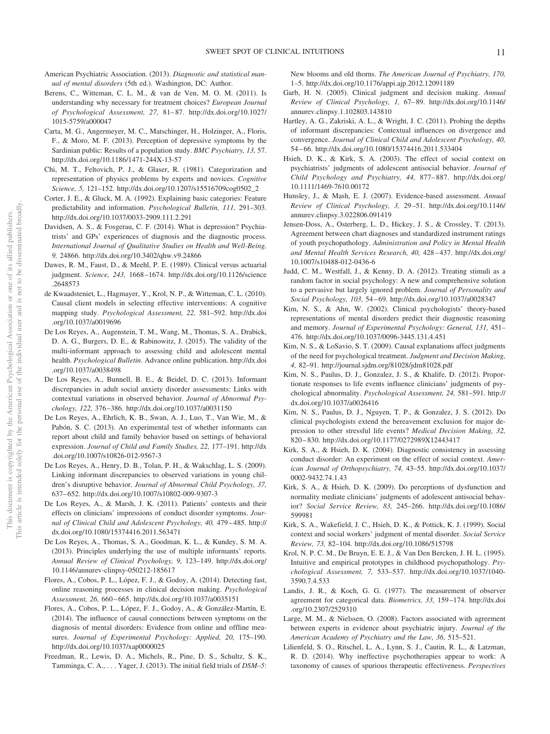- American Psychiatric Association. (2013). *Diagnostic and statistical manual of mental disorders* (5th ed.). Washington, DC: Author.
- Berens, C., Witteman, C. L. M., & van de Ven, M. O. M. (2011). Is understanding why necessary for treatment choices? *European Journal of Psychological Assessment, 27,* 81– 87. http://dx.doi.org/10.1027/ 1015-5759/a000047
- Carta, M. G., Angermeyer, M. C., Matschinger, H., Holzinger, A., Floris, F., & Moro, M. F. (2013). Perception of depressive symptoms by the Sardinian public: Results of a population study. *BMC Psychiatry, 13,* 57. http://dx.doi.org/10.1186/1471-244X-13-57
- Chi, M. T., Feltovich, P. J., & Glaser, R. (1981). Categorization and representation of physics problems by experts and novices. *Cognitive Science, 5,* 121–152. http://dx.doi.org/10.1207/s15516709cog0502\_2
- Corter, J. E., & Gluck, M. A. (1992). Explaining basic categories: Feature predictability and information. *Psychological Bulletin, 111,* 291–303. http://dx.doi.org/10.1037/0033-2909.111.2.291
- Davidsen, A. S., & Fosgerau, C. F. (2014). What is depression? Psychiatrists' and GPs' experiences of diagnosis and the diagnostic process. *International Journal of Qualitative Studies on Health and Well-Being, 9,* 24866. http://dx.doi.org/10.3402/qhw.v9.24866
- Dawes, R. M., Faust, D., & Meehl, P. E. (1989). Clinical versus actuarial judgment. *Science, 243,* 1668 –1674. http://dx.doi.org/10.1126/science .2648573
- de Kwaadsteniet, L., Hagmayer, Y., Krol, N. P., & Witteman, C. L. (2010). Causal client models in selecting effective interventions: A cognitive mapping study. *Psychological Assessment, 22,* 581–592. http://dx.doi .org/10.1037/a0019696
- De Los Reyes, A., Augenstein, T. M., Wang, M., Thomas, S. A., Drabick, D. A. G., Burgers, D. E., & Rabinowitz, J. (2015). The validity of the multi-informant approach to assessing child and adolescent mental health. *Psychological Bulletin*. Advance online publication. http://dx.doi .org/10.1037/a0038498
- De Los Reyes, A., Bunnell, B. E., & Beidel, D. C. (2013). Informant discrepancies in adult social anxiety disorder assessments: Links with contextual variations in observed behavior. *Journal of Abnormal Psychology, 122,* 376 –386. http://dx.doi.org/10.1037/a0031150
- De Los Reyes, A., Ehrlich, K. B., Swan, A. J., Luo, T., Van Wie, M., & Pabón, S. C. (2013). An experimental test of whether informants can report about child and family behavior based on settings of behavioral expression. *Journal of Child and Family Studies, 22,* 177–191. http://dx .doi.org/10.1007/s10826-012-9567-3
- De Los Reyes, A., Henry, D. B., Tolan, P. H., & Wakschlag, L. S. (2009). Linking informant discrepancies to observed variations in young children's disruptive behavior. *Journal of Abnormal Child Psychology, 37,* 637– 652. http://dx.doi.org/10.1007/s10802-009-9307-3
- De Los Reyes, A., & Marsh, J. K. (2011). Patients' contexts and their effects on clinicians' impressions of conduct disorder symptoms. *Journal of Clinical Child and Adolescent Psychology, 40,* 479 – 485. http:// dx.doi.org/10.1080/15374416.2011.563471
- De Los Reyes, A., Thomas, S. A., Goodman, K. L., & Kundey, S. M. A. (2013). Principles underlying the use of multiple informants' reports. *Annual Review of Clinical Psychology, 9,* 123–149. http://dx.doi.org/ 10.1146/annurev-clinpsy-050212-185617
- Flores, A., Cobos, P. L., López, F. J., & Godoy, A. (2014). Detecting fast, online reasoning processes in clinical decision making. *Psychological Assessment, 26,* 660 – 665. http://dx.doi.org/10.1037/a0035151
- Flores, A., Cobos, P. L., López, F. J., Godoy, A., & González-Martín, E. (2014). The influence of causal connections between symptoms on the diagnosis of mental disorders: Evidence from online and offline measures. *Journal of Experimental Psychology: Applied, 20,* 175–190. http://dx.doi.org/10.1037/xap0000025
- Freedman, R., Lewis, D. A., Michels, R., Pine, D. S., Schultz, S. K., Tamminga, C. A.,... Yager, J. (2013). The initial field trials of *DSM–5*:

New blooms and old thorns. *The American Journal of Psychiatry, 170,* 1–5. http://dx.doi.org/10.1176/appi.ajp.2012.12091189

- Garb, H. N. (2005). Clinical judgment and decision making. *Annual Review of Clinical Psychology, 1,* 67– 89. http://dx.doi.org/10.1146/ annurev.clinpsy.1.102803.143810
- Hartley, A. G., Zakriski, A. L., & Wright, J. C. (2011). Probing the depths of informant discrepancies: Contextual influences on divergence and convergence. *Journal of Clinical Child and Adolescent Psychology, 40,* 54 – 66. http://dx.doi.org/10.1080/15374416.2011.533404
- Hsieh, D. K., & Kirk, S. A. (2003). The effect of social context on psychiatrists' judgments of adolescent antisocial behavior. *Journal of Child Psychology and Psychiatry, 44,* 877– 887. http://dx.doi.org/ 10.1111/1469-7610.00172
- Hunsley, J., & Mash, E. J. (2007). Evidence-based assessment. *Annual Review of Clinical Psychology, 3,* 29 –51. http://dx.doi.org/10.1146/ annurev.clinpsy.3.022806.091419
- Jensen-Doss, A., Osterberg, L. D., Hickey, J. S., & Crossley, T. (2013). Agreement between chart diagnoses and standardized instrument ratings of youth psychopathology. *Administration and Policy in Mental Health and Mental Health Services Research, 40,* 428 – 437. http://dx.doi.org/ 10.1007/s10488-012-0436-6
- Judd, C. M., Westfall, J., & Kenny, D. A. (2012). Treating stimuli as a random factor in social psychology: A new and comprehensive solution to a pervasive but largely ignored problem. *Journal of Personality and Social Psychology, 103,* 54 – 69. http://dx.doi.org/10.1037/a0028347
- Kim, N. S., & Ahn, W. (2002). Clinical psychologists' theory-based representations of mental disorders predict their diagnostic reasoning and memory. *Journal of Experimental Psychology: General, 131,* 451– 476. http://dx.doi.org/10.1037/0096-3445.131.4.451
- Kim, N. S., & LoSavio, S. T. (2009). Causal explanations affect judgments of the need for psychological treatment. *Judgment and Decision Making, 4,* 82–91. http://journal.sjdm.org/81028/jdm81028.pdf
- Kim, N. S., Paulus, D. J., Gonzalez, J. S., & Khalife, D. (2012). Proportionate responses to life events influence clinicians' judgments of psychological abnormality. *Psychological Assessment, 24,* 581–591. http:// dx.doi.org/10.1037/a0026416
- Kim, N. S., Paulus, D. J., Nguyen, T. P., & Gonzalez, J. S. (2012). Do clinical psychologists extend the bereavement exclusion for major depression to other stressful life events? *Medical Decision Making, 32,* 820 – 830. http://dx.doi.org/10.1177/0272989X12443417
- Kirk, S. A., & Hsieh, D. K. (2004). Diagnostic consistency in assessing conduct disorder: An experiment on the effect of social context. *American Journal of Orthopsychiatry, 74,* 43–55. http://dx.doi.org/10.1037/ 0002-9432.74.1.43
- Kirk, S. A., & Hsieh, D. K. (2009). Do perceptions of dysfunction and normality mediate clinicians' judgments of adolescent antisocial behavior? *Social Service Review, 83,* 245–266. http://dx.doi.org/10.1086/ 599981
- Kirk, S. A., Wakefield, J. C., Hsieh, D. K., & Pottick, K. J. (1999). Social context and social workers' judgment of mental disorder. *Social Service Review, 73,* 82–104. http://dx.doi.org/10.1086/515798
- Krol, N. P. C. M., De Bruyn, E. E. J., & Van Den Bercken, J. H. L. (1995). Intuitive and empirical prototypes in childhood psychopathology. *Psychological Assessment, 7,* 533–537. http://dx.doi.org/10.1037/1040- 3590.7.4.533
- Landis, J. R., & Koch, G. G. (1977). The measurement of observer agreement for categorical data. *Biometrics, 33,* 159 –174. http://dx.doi .org/10.2307/2529310
- Large, M. M., & Nielssen, O. (2008). Factors associated with agreement between experts in evidence about psychiatric injury. *Journal of the American Academy of Psychiatry and the Law, 36,* 515–521.
- Lilienfeld, S. O., Ritschel, L. A., Lynn, S. J., Cautin, R. L., & Latzman, R. D. (2014). Why ineffective psychotherapies appear to work: A taxonomy of causes of spurious therapeutic effectiveness. *Perspectives*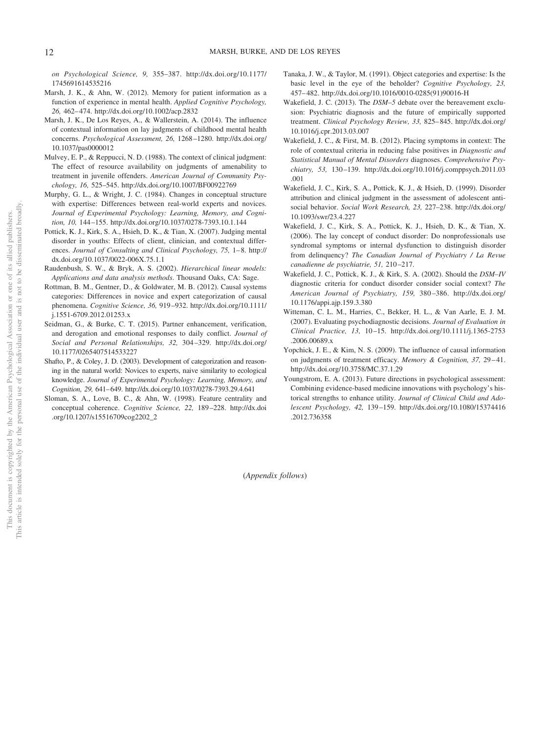*on Psychological Science, 9,* 355–387. http://dx.doi.org/10.1177/ 1745691614535216

- Marsh, J. K., & Ahn, W. (2012). Memory for patient information as a function of experience in mental health. *Applied Cognitive Psychology, 26,* 462– 474. http://dx.doi.org/10.1002/acp.2832
- Marsh, J. K., De Los Reyes, A., & Wallerstein, A. (2014). The influence of contextual information on lay judgments of childhood mental health concerns. *Psychological Assessment, 26,* 1268 –1280. http://dx.doi.org/ 10.1037/pas0000012
- Mulvey, E. P., & Reppucci, N. D. (1988). The context of clinical judgment: The effect of resource availability on judgments of amenability to treatment in juvenile offenders. *American Journal of Community Psychology, 16,* 525–545. http://dx.doi.org/10.1007/BF00922769
- Murphy, G. L., & Wright, J. C. (1984). Changes in conceptual structure with expertise: Differences between real-world experts and novices. *Journal of Experimental Psychology: Learning, Memory, and Cognition, 10,* 144 –155. http://dx.doi.org/10.1037/0278-7393.10.1.144
- Pottick, K. J., Kirk, S. A., Hsieh, D. K., & Tian, X. (2007). Judging mental disorder in youths: Effects of client, clinician, and contextual differences. *Journal of Consulting and Clinical Psychology, 75, 1–8. http://* dx.doi.org/10.1037/0022-006X.75.1.1
- Raudenbush, S. W., & Bryk, A. S. (2002). *Hierarchical linear models: Applications and data analysis methods*. Thousand Oaks, CA: Sage.
- Rottman, B. M., Gentner, D., & Goldwater, M. B. (2012). Causal systems categories: Differences in novice and expert categorization of causal phenomena. *Cognitive Science, 36,* 919 –932. http://dx.doi.org/10.1111/ j.1551-6709.2012.01253.x
- Seidman, G., & Burke, C. T. (2015). Partner enhancement, verification, and derogation and emotional responses to daily conflict. *Journal of Social and Personal Relationships, 32,* 304 –329. http://dx.doi.org/ 10.1177/0265407514533227
- Shafto, P., & Coley, J. D. (2003). Development of categorization and reasoning in the natural world: Novices to experts, naive similarity to ecological knowledge. *Journal of Experimental Psychology: Learning, Memory, and Cognition, 29,* 641– 649. http://dx.doi.org/10.1037/0278-7393.29.4.641
- Sloman, S. A., Love, B. C., & Ahn, W. (1998). Feature centrality and conceptual coherence. *Cognitive Science, 22,* 189 –228. http://dx.doi .org/10.1207/s15516709cog2202\_2
- Tanaka, J. W., & Taylor, M. (1991). Object categories and expertise: Is the basic level in the eye of the beholder? *Cognitive Psychology, 23,* 457– 482. http://dx.doi.org/10.1016/0010-0285(91)90016-H
- Wakefield, J. C. (2013). The *DSM–5* debate over the bereavement exclusion: Psychiatric diagnosis and the future of empirically supported treatment. *Clinical Psychology Review, 33,* 825– 845. http://dx.doi.org/ 10.1016/j.cpr.2013.03.007
- Wakefield, J. C., & First, M. B. (2012). Placing symptoms in context: The role of contextual criteria in reducing false positives in *Diagnostic and Statistical Manual of Mental Disorders* diagnoses. *Comprehensive Psychiatry, 53,* 130 –139. http://dx.doi.org/10.1016/j.comppsych.2011.03 .001
- Wakefield, J. C., Kirk, S. A., Pottick, K. J., & Hsieh, D. (1999). Disorder attribution and clinical judgment in the assessment of adolescent antisocial behavior. *Social Work Research, 23,* 227–238. http://dx.doi.org/ 10.1093/swr/23.4.227
- Wakefield, J. C., Kirk, S. A., Pottick, K. J., Hsieh, D. K., & Tian, X. (2006). The lay concept of conduct disorder: Do nonprofessionals use syndromal symptoms or internal dysfunction to distinguish disorder from delinquency? *The Canadian Journal of Psychiatry / La Revue canadienne de psychiatrie, 51,* 210 –217.
- Wakefield, J. C., Pottick, K. J., & Kirk, S. A. (2002). Should the *DSM–IV* diagnostic criteria for conduct disorder consider social context? *The American Journal of Psychiatry, 159,* 380 –386. http://dx.doi.org/ 10.1176/appi.ajp.159.3.380
- Witteman, C. L. M., Harries, C., Bekker, H. L., & Van Aarle, E. J. M. (2007). Evaluating psychodiagnostic decisions. *Journal of Evaluation in Clinical Practice, 13,* 10 –15. http://dx.doi.org/10.1111/j.1365-2753 .2006.00689.x
- Yopchick, J. E., & Kim, N. S. (2009). The influence of causal information on judgments of treatment efficacy. *Memory & Cognition, 37,* 29 – 41. http://dx.doi.org/10.3758/MC.37.1.29
- Youngstrom, E. A. (2013). Future directions in psychological assessment: Combining evidence-based medicine innovations with psychology's historical strengths to enhance utility. *Journal of Clinical Child and Adolescent Psychology, 42,* 139 –159. http://dx.doi.org/10.1080/15374416 .2012.736358

(*Appendix follows*)